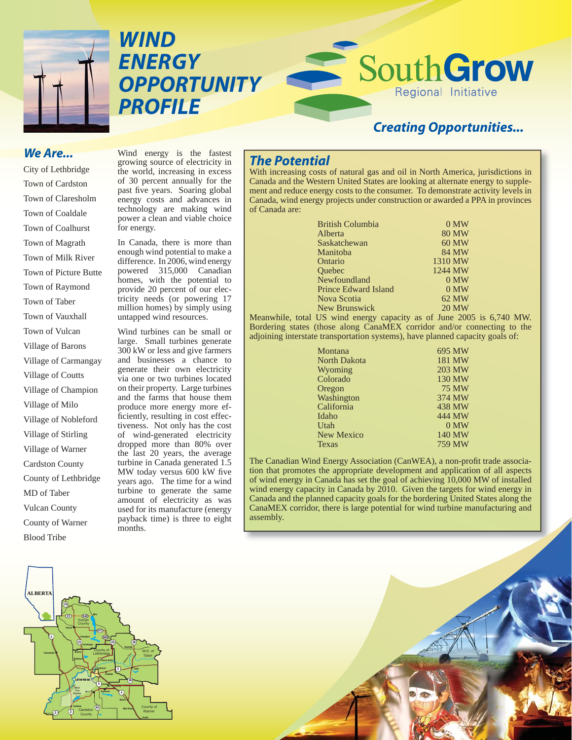

*WIND ENERGY OPPORTUNITY PROFILE*

# *Creating Opportunities...*

Regional Initiative

South Grow

#### *We Are...*

City of Lethbridge Town of Cardston Town of Claresholm Town of Coaldale Town of Coalhurst Town of Magrath Town of Milk River Town of Picture Butte Town of Raymond Town of Taber Town of Vauxhall Town of Vulcan Village of Barons Village of Carmangay Village of Coutts Village of Champion Village of Milo Village of Nobleford Village of Stirling Village of Warner Cardston County County of Lethbridge MD of Taber Vulcan County County of Warner Blood Tribe

Wind energy is the fastest growing source of electricity in the world, increasing in excess of 30 percent annually for the past five years. Soaring global energy costs and advances in technology are making wind power a clean and viable choice for energy.

In Canada, there is more than enough wind potential to make a difference. In 2006, wind energy powered 315,000 Canadian homes, with the potential to provide 20 percent of our electricity needs (or powering 17 million homes) by simply using untapped wind resources.

Wind turbines can be small or large. Small turbines generate 300 kW or less and give farmers and businesses a chance to generate their own electricity via one or two turbines located on their property. Large turbines and the farms that house them produce more energy more efficiently, resulting in cost effectiveness. Not only has the cost of wind-generated electricity dropped more than 80% over the last 20 years, the average turbine in Canada generated 1.5 MW today versus 600 kW five years ago. The time for a wind turbine to generate the same amount of electricity as was used for its manufacture (energy payback time) is three to eight months.

## *The Potential*

With increasing costs of natural gas and oil in North America, jurisdictions in Canada and the Western United States are looking at alternate energy to supplement and reduce energy costs to the consumer. To demonstrate activity levels in Canada, wind energy projects under construction or awarded a PPA in provinces of Canada are:

| $0$ MW       |
|--------------|
| <b>80 MW</b> |
| 60 MW        |
| 84 MW        |
| 1310 MW      |
| 1244 MW      |
| $0$ MW       |
| 0 MW         |
| 62 MW        |
| <b>20 MW</b> |
|              |

Meanwhile, total US wind energy capacity as of June 2005 is 6,740 MW. Bordering states (those along CanaMEX corridor and/or connecting to the adjoining interstate transportation systems), have planned capacity goals of:

| Montana             | 695 MW       |
|---------------------|--------------|
| <b>North Dakota</b> | 181 MW       |
| Wyoming             | 203 MW       |
| Colorado            | 130 MW       |
| Oregon              | <b>75 MW</b> |
| Washington          | 374 MW       |
| California          | 438 MW       |
| Idaho               | 444 MW       |
| Utah                | 0 MW         |
| <b>New Mexico</b>   | 140 MW       |
| Texas               | 759 MW       |
|                     |              |

The Canadian Wind Energy Association (CanWEA), a non-profit trade association that promotes the appropriate development and application of all aspects of wind energy in Canada has set the goal of achieving 10,000 MW of installed wind energy capacity in Canada by 2010. Given the targets for wind energy in Canada and the planned capacity goals for the bordering United States along the CanaMEX corridor, there is large potential for wind turbine manufacturing and assembly.